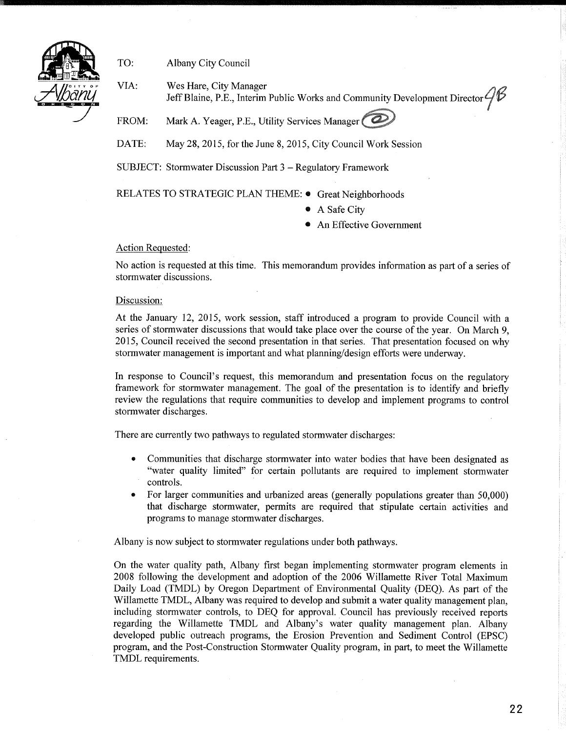

TO: Albany City Council

VIA: Wes Hare, City Manager  $\bigcirc$  $\overline{U}$  Jeff Blaine, P.E., Interim Public Works and Community Development Director  $\mathscr{G}$ 

FROM: Mark A. Yeager, P.E., Utility Services Manager

DATE: May 28, 2015, for the June 8, 2015, City Council Work Session

SUBJECT: Stormwater Discussion Part 3 - Regulatory Framework

RELATES TO STRATEGIC PLAN THEME: · Great Neighborhoods

- A Safe City
- An Effective Government

## Action Requested:

No action is requested at this time. This memorandum provides information as part of a series of stormwater discussions.

## Discussion:

At the January 12, 2015, work session, staff introduced a program to provide Council with a series of stormwater discussions that would take place over the course of the year. On March 9, 2015, Council received the second presentation in that series. That presentation focused on why stormwater management is important and what planning/design efforts were underway.

In response to Council's request, this memorandum and presentation focus on the regulatory framework for stormwater management. The goal of the presentation is to identify and briefly review the regulations that require communities to develop and implement programs to control stormwater discharges.

There are currently two pathways to regulated stormwater discharges:

- Communities that discharge stormwater into water bodies that have been designated as "water quality limited" for certain pollutants are required to implement stormwater controls.
- For larger communities and urbanized areas (generally populations greater than 50,000) that discharge stormwater, permits are required that stipulate certain activities and programs to manage stormwater discharges.

Albany is now subject to stormwater regulations under both pathways.

On the water quality path, Albany first began implementing stormwater program elements in 2008 following the development and adoption of the 2006 Willamette River Total Maximum Daily Load (TMDL) by Oregon Department of Environmental Quality (DEQ). As part of the Willamette TMDL, Albany was required to develop and submit a water quality management plan, including stormwater controls, to DEQ for approval. Council has previously received reports regarding the Willamette TMDL and Albany's water quality management plan. Albany developed public outreach programs, the Erosion Prevention and Sediment Control (EPSC) program, and the Post-Construction Stormwater Quality program, in part, to meet the Willamette TMDL requirements.